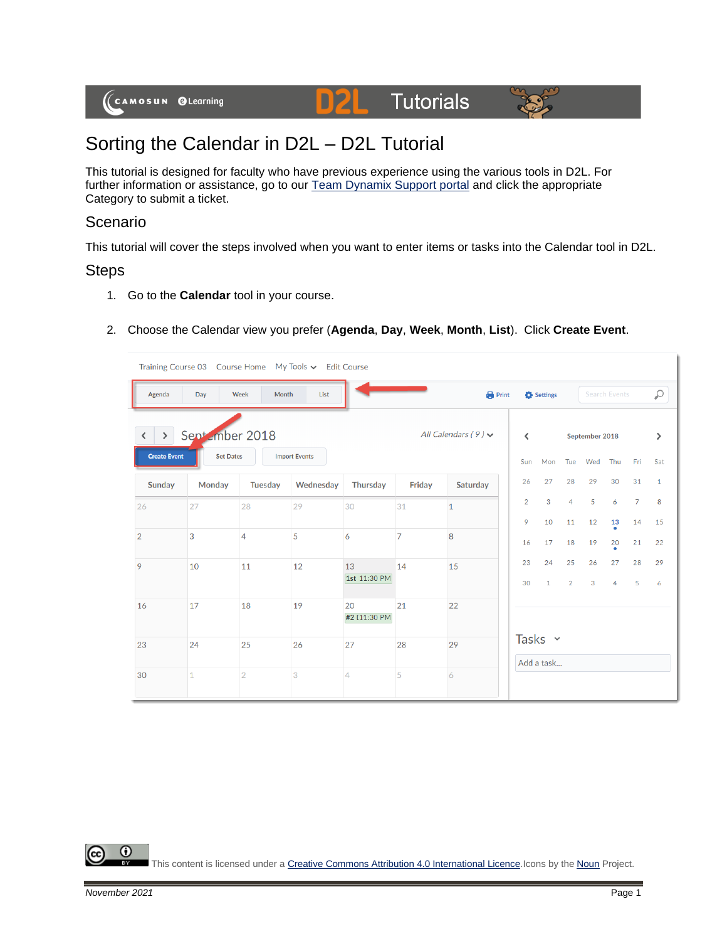# **Tutorials**



## Sorting the Calendar in D2L – D2L Tutorial

This tutorial is designed for faculty who have previous experience using the various tools in D2L. For further information or assistance, go to our **Team Dynamix Support portal** and click the appropriate Category to submit a ticket.

D

#### Scenario

This tutorial will cover the steps involved when you want to enter items or tasks into the Calendar tool in D2L.

#### **Steps**

- 1. Go to the **Calendar** tool in your course.
- 2. Choose the Calendar view you prefer (**Agenda**, **Day**, **Week**, **Month**, **List**). Click **Create Event**.

|                                                      |                                                |                | Training Course 03 Course Home My Tools v Edit Course |                    |                |                            |                                 |                            |                      |                       |                      |                      |                     |
|------------------------------------------------------|------------------------------------------------|----------------|-------------------------------------------------------|--------------------|----------------|----------------------------|---------------------------------|----------------------------|----------------------|-----------------------|----------------------|----------------------|---------------------|
| Agenda                                               | Day                                            | Week<br>Month  | List                                                  |                    |                | <b>Print</b>               |                                 | Settings                   |                      |                       | <b>Search Events</b> |                      | $\varphi$           |
| $\left( \right)$<br>$\langle$<br><b>Create Event</b> | Sept <sub>ember</sub> 2018<br><b>Set Dates</b> |                | <b>Import Events</b>                                  |                    |                | All Calendars $(9)$ $\vee$ | $\overline{\phantom{a}}$<br>Sun | Mon                        | Tue                  | September 2018<br>Wed | Thu                  | Fri                  | $\mathcal Y$<br>Sat |
| Sunday                                               | Monday                                         | Tuesday        | Wednesday                                             | <b>Thursday</b>    | Friday         | Saturday                   | 26                              | 27                         | 28                   | 29                    | 30                   | 31                   | $\mathbf{1}$        |
| 26                                                   | 27                                             | 28             | 29                                                    | 30                 | 31             | $\mathbf{1}$               | $\overline{2}$<br>9             | 3<br>10                    | $\overline{4}$<br>11 | 5<br>12               | 6<br>13              | $\overline{7}$<br>14 | 8<br>15             |
| $\overline{2}$                                       | 3                                              | $\overline{4}$ | 5                                                     | 6                  | $\overline{7}$ | 8                          | 16                              | 17                         | 18                   | 19                    | 20                   | 21                   | 22                  |
| 9                                                    | 10                                             | 11             | 12                                                    | 13<br>1st 11:30 PM | 14             | 15                         | 23<br>30                        | 24<br>$\mathbf{1}$         | 25<br>$\overline{2}$ | 26<br>$\mathbf{3}$    | 27<br>$\overline{4}$ | 28<br>5              | 29<br>6             |
| 16                                                   | 17                                             | 18             | 19                                                    | 20<br>#2 [11:30 PM | 21             | 22                         |                                 |                            |                      |                       |                      |                      |                     |
| 23                                                   | 24                                             | 25             | 26                                                    | 27                 | 28             | 29                         |                                 | Tasks $\sim$<br>Add a task |                      |                       |                      |                      |                     |
| 30                                                   | $\mathbf{1}$                                   | $\overline{2}$ | 3                                                     | $\overline{4}$     | 5              | 6                          |                                 |                            |                      |                       |                      |                      |                     |

This content is licensed under [a Creative Commons Attribution 4.0 International Licence.I](https://creativecommons.org/licenses/by/4.0/)cons by the [Noun](https://creativecommons.org/website-icons/) Project.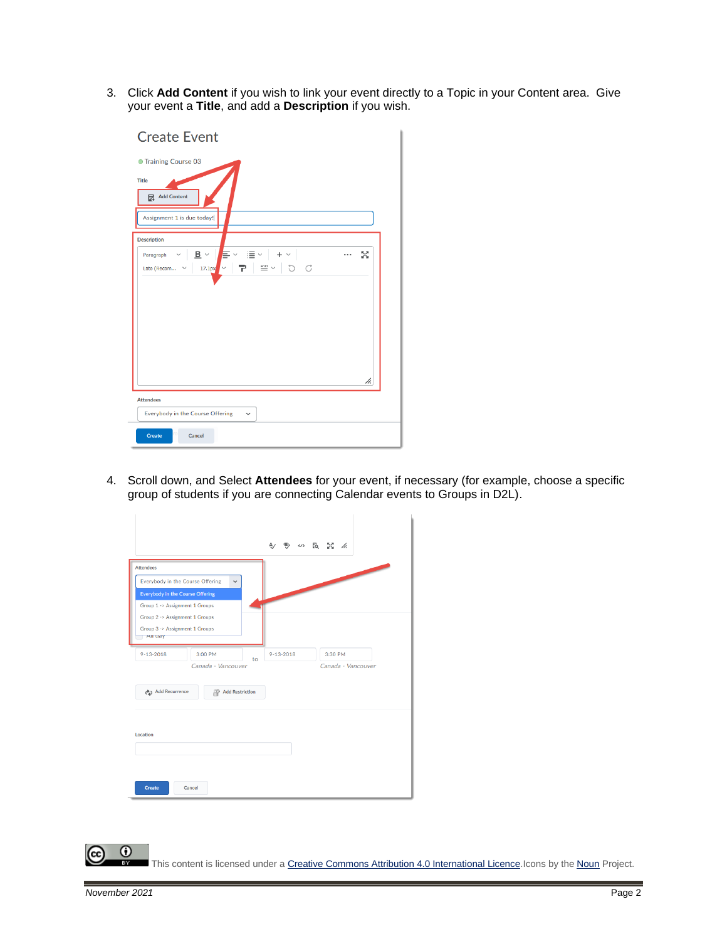3. Click **Add Content** if you wish to link your event directly to a Topic in your Content area. Give your event a **Title**, and add a **Description** if you wish.

| <b>Create Event</b>                                                                                                                                         |    |
|-------------------------------------------------------------------------------------------------------------------------------------------------------------|----|
| <b>Training Course 03</b>                                                                                                                                   |    |
| <b>Title</b><br>Add Content<br>Assignment 1 is due today!                                                                                                   |    |
| <b>Description</b>                                                                                                                                          |    |
| $B \vee \quad \equiv \vee \quad \equiv \vee$<br>$+$ $\times$<br>Paragraph<br>$\checkmark$<br>$\equiv$ $\sim$<br>D C<br>Lato (Recom<br>$17.1px$ $\sim$<br>Ŧ. | 53 |
| <b>Attendees</b>                                                                                                                                            | h. |
| Everybody in the Course Offering<br>$\check{~}$                                                                                                             |    |
| <b>Create</b><br>Cancel                                                                                                                                     |    |

4. Scroll down, and Select **Attendees** for your event, if necessary (for example, choose a specific group of students if you are connecting Calendar events to Groups in D2L).

| <b>Attendees</b>                          |                    |    |                 |                    |
|-------------------------------------------|--------------------|----|-----------------|--------------------|
| Everybody in the Course Offering          | $\checkmark$       |    |                 |                    |
| <b>Everybody in the Course Offering</b>   |                    |    |                 |                    |
| Group 1 -> Assignment 1 Groups            |                    |    |                 |                    |
| Group 2 -> Assignment 1 Groups            |                    |    |                 |                    |
| Group 3 -> Assignment 1 Groups<br>All uay |                    |    |                 |                    |
| $9 - 13 - 2018$                           | 3:00 PM            | to | $9 - 13 - 2018$ | 3:30 PM            |
|                                           | Canada - Vancouver |    |                 | Canada - Vancouver |
| <b>එට</b> Add Recurrence                  | Add Restriction    |    |                 |                    |
| Location                                  |                    |    |                 |                    |
|                                           |                    |    |                 |                    |

This content is licensed under [a Creative Commons Attribution 4.0 International Licence.I](https://creativecommons.org/licenses/by/4.0/)cons by the [Noun](https://creativecommons.org/website-icons/) Project.

 $\odot$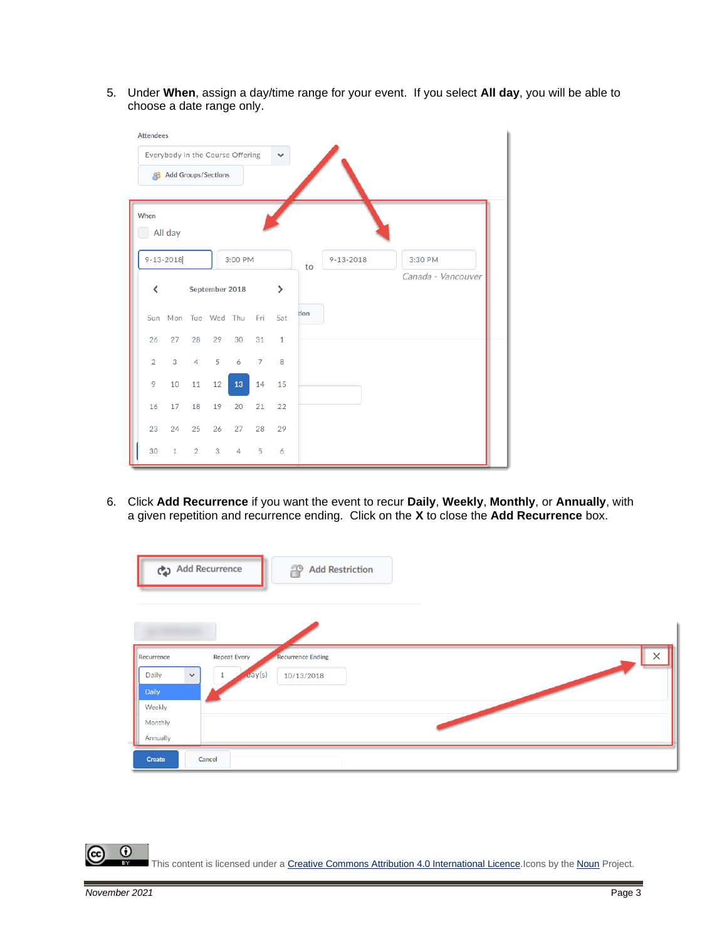5. Under **When**, assign a day/time range for your event. If you select **All day**, you will be able to choose a date range only.

| <b>Attendees</b>                                 |                            |             |                     |         |               |              |      |                 |                    |  |  |
|--------------------------------------------------|----------------------------|-------------|---------------------|---------|---------------|--------------|------|-----------------|--------------------|--|--|
| Everybody in the Course Offering<br>$\checkmark$ |                            |             |                     |         |               |              |      |                 |                    |  |  |
| Q8                                               | <b>Add Groups/Sections</b> |             |                     |         |               |              |      |                 |                    |  |  |
|                                                  |                            |             |                     |         |               |              |      |                 |                    |  |  |
| When                                             |                            |             |                     |         |               |              |      |                 |                    |  |  |
|                                                  | All day                    |             |                     |         |               |              |      |                 |                    |  |  |
|                                                  | $9 - 13 - 2018$            |             |                     | 3:00 PM |               |              |      | $9 - 13 - 2018$ | 3:30 PM            |  |  |
|                                                  |                            |             |                     |         |               |              | to   |                 | Canada - Vancouver |  |  |
| ∢                                                | September 2018             |             |                     |         | $\rightarrow$ |              |      |                 |                    |  |  |
|                                                  |                            |             | Sun Mon Tue Wed Thu |         | - Fri         | Sat          | tion |                 |                    |  |  |
| 26                                               | 27                         | 28          | 29                  | 30      | 31            | $\mathbf{1}$ |      |                 |                    |  |  |
| $\overline{2}$                                   | 3                          | $4 -$       | $5 -$               | 6       | 7             | 8            |      |                 |                    |  |  |
| 9                                                | 10                         | 11          | 12 <sup>2</sup>     | 13      | 14            | 15           |      |                 |                    |  |  |
| 16                                               | 17 <sup>7</sup>            | 18          | 19                  | 20      | 21            | 22           |      |                 |                    |  |  |
| 23                                               | 24                         | 25          | 26                  | 27      | 28            | 29           |      |                 |                    |  |  |
| 30                                               | $\mathbf{1}$               | $2^{\circ}$ | 3 <sup>7</sup>      | $4 -$   | 5             | 6            |      |                 |                    |  |  |

6. Click **Add Recurrence** if you want the event to recur **Daily**, **Weekly**, **Monthly**, or **Annually**, with a given repetition and recurrence ending. Click on the **X** to close the **Add Recurrence** box.

|                       | Add Recurrence<br><b>Add Restriction</b><br>2        |
|-----------------------|------------------------------------------------------|
|                       |                                                      |
| Recurrence            | $\times$<br>Recurrence Ending<br><b>Repeat Every</b> |
| Daily<br>$\checkmark$ | day(s)<br>1<br>10/13/2018                            |
| Daily                 |                                                      |
| Weekly                |                                                      |
| Monthly               |                                                      |
| Annually              |                                                      |
| Create                | Cancel                                               |

 $\odot$ This content is licensed under [a Creative Commons Attribution 4.0 International Licence.I](https://creativecommons.org/licenses/by/4.0/)cons by the [Noun](https://creativecommons.org/website-icons/) Project.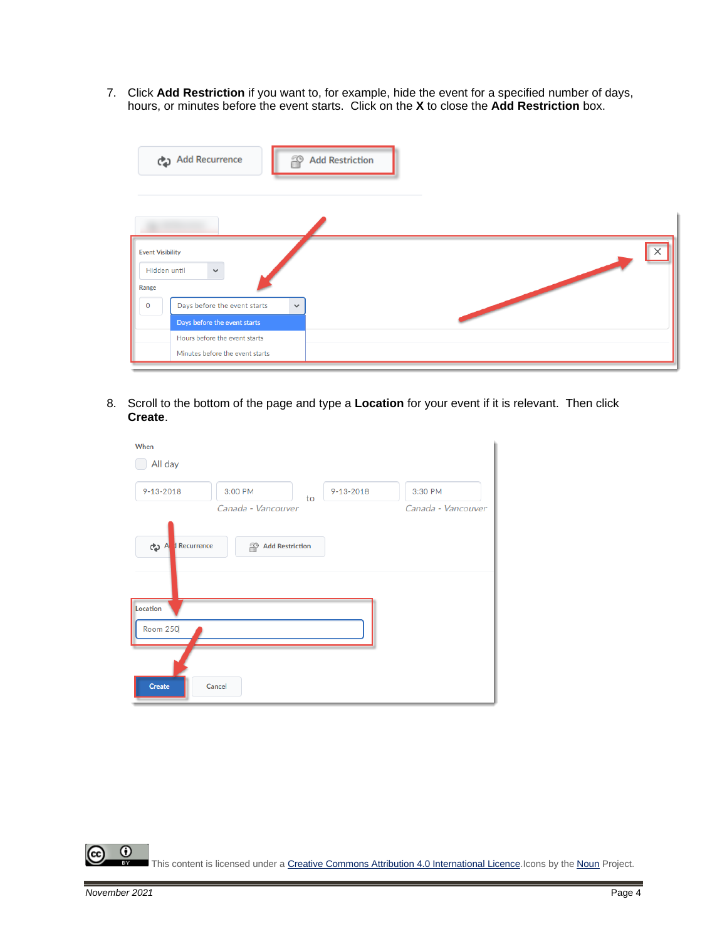7. Click **Add Restriction** if you want to, for example, hide the event for a specified number of days, hours, or minutes before the event starts. Click on the **X** to close the **Add Restriction** box.

|                                                  | Add Recurrence<br>D                                                          | <b>Add Restriction</b> |
|--------------------------------------------------|------------------------------------------------------------------------------|------------------------|
| <b>Event Visibility</b><br>Hidden until<br>Range | $\checkmark$                                                                 | $\times$               |
| $\circ$                                          | Days before the event starts<br>$\checkmark$<br>Days before the event starts |                        |
|                                                  | Hours before the event starts<br>Minutes before the event starts             |                        |

8. Scroll to the bottom of the page and type a **Location** for your event if it is relevant. Then click **Create**.

| When<br>All day             |                                     |                 |                               |
|-----------------------------|-------------------------------------|-----------------|-------------------------------|
| $9 - 13 - 2018$             | 3:00 PM<br>to<br>Canada - Vancouver | $9 - 13 - 2018$ | 3:30 PM<br>Canada - Vancouver |
| A d Recurrence              | <b>Add Restriction</b><br>29        |                 |                               |
| Location<br><b>Room 250</b> |                                     |                 |                               |
| <b>Create</b>               | Cancel                              |                 |                               |

 $\overline{0}$ (cc This content is licensed under [a Creative Commons Attribution 4.0 International Licence.I](https://creativecommons.org/licenses/by/4.0/)cons by the [Noun](https://creativecommons.org/website-icons/) Project.